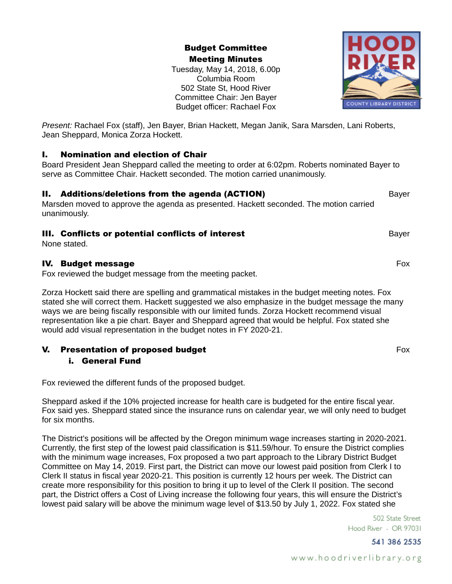Budget Committee Meeting Minutes

Tuesday, May 14, 2018, 6.00p Columbia Room 502 State St, Hood River Committee Chair: Jen Bayer Budget officer: Rachael Fox

*Present:* Rachael Fox (staff), Jen Bayer, Brian Hackett, Megan Janik, Sara Marsden, Lani Roberts, Jean Sheppard, Monica Zorza Hockett.

### I. Nomination and election of Chair

Board President Jean Sheppard called the meeting to order at 6:02pm. Roberts nominated Bayer to serve as Committee Chair. Hackett seconded. The motion carried unanimously.

# **II. Additions/deletions from the agenda (ACTION)** Bayer

Marsden moved to approve the agenda as presented. Hackett seconded. The motion carried unanimously.

# **III. Conflicts or potential conflicts of interest Conflicted Bayer Reports Conflicts or payer**

None stated.

# IV. Budget message Fox

Fox reviewed the budget message from the meeting packet.

Zorza Hockett said there are spelling and grammatical mistakes in the budget meeting notes. Fox stated she will correct them. Hackett suggested we also emphasize in the budget message the many ways we are being fiscally responsible with our limited funds. Zorza Hockett recommend visual representation like a pie chart. Bayer and Sheppard agreed that would be helpful. Fox stated she would add visual representation in the budget notes in FY 2020-21.

# **V.** Presentation of proposed budget Fox and the set of the Fox and Fox and Fox and Fox and Fox and Fox and Fox

### i. General Fund

Fox reviewed the different funds of the proposed budget.

Sheppard asked if the 10% projected increase for health care is budgeted for the entire fiscal year. Fox said yes. Sheppard stated since the insurance runs on calendar year, we will only need to budget for six months.

The District's positions will be affected by the Oregon minimum wage increases starting in 2020-2021. Currently, the first step of the lowest paid classification is \$11.59/hour. To ensure the District complies with the minimum wage increases, Fox proposed a two part approach to the Library District Budget Committee on May 14, 2019. First part, the District can move our lowest paid position from Clerk I to Clerk II status in fiscal year 2020-21. This position is currently 12 hours per week. The District can create more responsibility for this position to bring it up to level of the Clerk II position. The second part, the District offers a Cost of Living increase the following four years, this will ensure the District's lowest paid salary will be above the minimum wage level of \$13.50 by July 1, 2022. Fox stated she

> 502 State Street Hood River · OR 97031

> > 541 386 2535

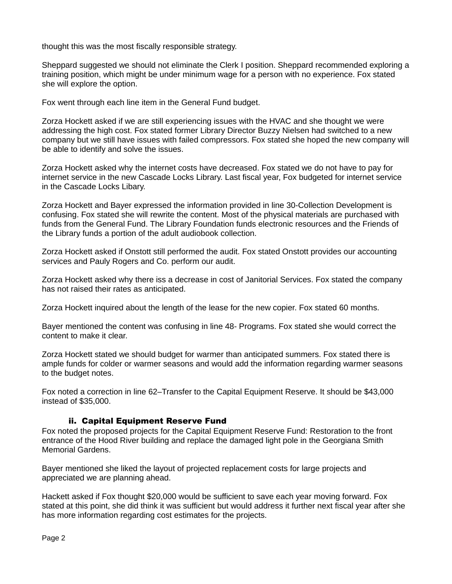thought this was the most fiscally responsible strategy.

Sheppard suggested we should not eliminate the Clerk I position. Sheppard recommended exploring a training position, which might be under minimum wage for a person with no experience. Fox stated she will explore the option.

Fox went through each line item in the General Fund budget.

Zorza Hockett asked if we are still experiencing issues with the HVAC and she thought we were addressing the high cost. Fox stated former Library Director Buzzy Nielsen had switched to a new company but we still have issues with failed compressors. Fox stated she hoped the new company will be able to identify and solve the issues.

Zorza Hockett asked why the internet costs have decreased. Fox stated we do not have to pay for internet service in the new Cascade Locks Library. Last fiscal year, Fox budgeted for internet service in the Cascade Locks Libary.

Zorza Hockett and Bayer expressed the information provided in line 30-Collection Development is confusing. Fox stated she will rewrite the content. Most of the physical materials are purchased with funds from the General Fund. The Library Foundation funds electronic resources and the Friends of the Library funds a portion of the adult audiobook collection.

Zorza Hockett asked if Onstott still performed the audit. Fox stated Onstott provides our accounting services and Pauly Rogers and Co. perform our audit.

Zorza Hockett asked why there iss a decrease in cost of Janitorial Services. Fox stated the company has not raised their rates as anticipated.

Zorza Hockett inquired about the length of the lease for the new copier. Fox stated 60 months.

Bayer mentioned the content was confusing in line 48- Programs. Fox stated she would correct the content to make it clear.

Zorza Hockett stated we should budget for warmer than anticipated summers. Fox stated there is ample funds for colder or warmer seasons and would add the information regarding warmer seasons to the budget notes.

Fox noted a correction in line 62–Transfer to the Capital Equipment Reserve. It should be \$43,000 instead of \$35,000.

### ii. Capital Equipment Reserve Fund

Fox noted the proposed projects for the Capital Equipment Reserve Fund: Restoration to the front entrance of the Hood River building and replace the damaged light pole in the Georgiana Smith Memorial Gardens.

Bayer mentioned she liked the layout of projected replacement costs for large projects and appreciated we are planning ahead.

Hackett asked if Fox thought \$20,000 would be sufficient to save each year moving forward. Fox stated at this point, she did think it was sufficient but would address it further next fiscal year after she has more information regarding cost estimates for the projects.